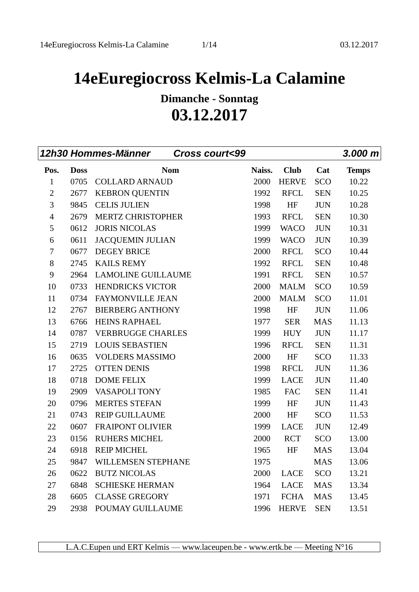## **14eEuregiocross Kelmis-La Calamine**

**Dimanche - Sonntag 03.12.2017**

|                |             | 12h30 Hommes-Männer       | <b>Cross court&lt;99</b> |        |              |            | $3.000 \; \text{m}$ |
|----------------|-------------|---------------------------|--------------------------|--------|--------------|------------|---------------------|
| Pos.           | <b>Doss</b> |                           | <b>Nom</b>               | Naiss. | <b>Club</b>  | Cat        | <b>Temps</b>        |
| $\mathbf{1}$   | 0705        | <b>COLLARD ARNAUD</b>     |                          | 2000   | <b>HERVE</b> | SCO        | 10.22               |
| $\overline{2}$ | 2677        | <b>KEBRON QUENTIN</b>     |                          | 1992   | <b>RFCL</b>  | <b>SEN</b> | 10.25               |
| 3              | 9845        | <b>CELIS JULIEN</b>       |                          | 1998   | HF           | <b>JUN</b> | 10.28               |
| $\overline{4}$ | 2679        | <b>MERTZ CHRISTOPHER</b>  |                          | 1993   | <b>RFCL</b>  | <b>SEN</b> | 10.30               |
| 5              | 0612        | <b>JORIS NICOLAS</b>      |                          | 1999   | <b>WACO</b>  | <b>JUN</b> | 10.31               |
| 6              | 0611        | <b>JACQUEMIN JULIAN</b>   |                          | 1999   | <b>WACO</b>  | <b>JUN</b> | 10.39               |
| $\overline{7}$ | 0677        | <b>DEGEY BRICE</b>        |                          | 2000   | <b>RFCL</b>  | SCO        | 10.44               |
| $8\,$          | 2745        | <b>KAILS REMY</b>         |                          | 1992   | <b>RFCL</b>  | <b>SEN</b> | 10.48               |
| 9              | 2964        | <b>LAMOLINE GUILLAUME</b> |                          | 1991   | <b>RFCL</b>  | <b>SEN</b> | 10.57               |
| 10             | 0733        | <b>HENDRICKS VICTOR</b>   |                          | 2000   | <b>MALM</b>  | SCO        | 10.59               |
| 11             | 0734        | FAYMONVILLE JEAN          |                          | 2000   | <b>MALM</b>  | SCO        | 11.01               |
| 12             | 2767        | <b>BIERBERG ANTHONY</b>   |                          | 1998   | HF           | <b>JUN</b> | 11.06               |
| 13             | 6766        | <b>HEINS RAPHAEL</b>      |                          | 1977   | <b>SER</b>   | <b>MAS</b> | 11.13               |
| 14             | 0787        | <b>VERBRUGGE CHARLES</b>  |                          | 1999   | <b>HUY</b>   | <b>JUN</b> | 11.17               |
| 15             | 2719        | <b>LOUIS SEBASTIEN</b>    |                          | 1996   | <b>RFCL</b>  | <b>SEN</b> | 11.31               |
| 16             | 0635        | <b>VOLDERS MASSIMO</b>    |                          | 2000   | HF           | SCO        | 11.33               |
| 17             | 2725        | <b>OTTEN DENIS</b>        |                          | 1998   | <b>RFCL</b>  | <b>JUN</b> | 11.36               |
| 18             | 0718        | <b>DOME FELIX</b>         |                          | 1999   | <b>LACE</b>  | <b>JUN</b> | 11.40               |
| 19             | 2909        | VASAPOLI TONY             |                          | 1985   | <b>FAC</b>   | <b>SEN</b> | 11.41               |
| 20             | 0796        | <b>MERTES STEFAN</b>      |                          | 1999   | HF           | <b>JUN</b> | 11.43               |
| 21             | 0743        | <b>REIP GUILLAUME</b>     |                          | 2000   | HF           | SCO        | 11.53               |
| 22             | 0607        | <b>FRAIPONT OLIVIER</b>   |                          | 1999   | <b>LACE</b>  | <b>JUN</b> | 12.49               |
| 23             | 0156        | <b>RUHERS MICHEL</b>      |                          | 2000   | <b>RCT</b>   | SCO        | 13.00               |
| 24             | 6918        | <b>REIP MICHEL</b>        |                          | 1965   | HF           | <b>MAS</b> | 13.04               |
| 25             | 9847        | WILLEMSEN STEPHANE        |                          | 1975   |              | <b>MAS</b> | 13.06               |
| 26             | 0622        | <b>BUTZ NICOLAS</b>       |                          | 2000   | <b>LACE</b>  | SCO        | 13.21               |
| 27             | 6848        | <b>SCHIESKE HERMAN</b>    |                          | 1964   | <b>LACE</b>  | <b>MAS</b> | 13.34               |
| 28             | 6605        | <b>CLASSE GREGORY</b>     |                          | 1971   | <b>FCHA</b>  | <b>MAS</b> | 13.45               |
| 29             | 2938        | POUMAY GUILLAUME          |                          | 1996   | <b>HERVE</b> | <b>SEN</b> | 13.51               |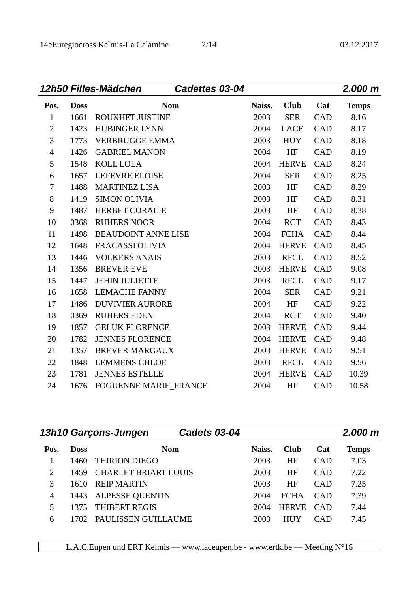|                |             | 12h50 Filles-Mädchen<br>Cadettes 03-04 |        |              |            | 2.000 m      |
|----------------|-------------|----------------------------------------|--------|--------------|------------|--------------|
| Pos.           | <b>Doss</b> | <b>Nom</b>                             | Naiss. | <b>Club</b>  | Cat        | <b>Temps</b> |
| $\mathbf{1}$   | 1661        | <b>ROUXHET JUSTINE</b>                 | 2003   | <b>SER</b>   | CAD        | 8.16         |
| $\mathbf{2}$   | 1423        | <b>HUBINGER LYNN</b>                   | 2004   | <b>LACE</b>  | CAD        | 8.17         |
| 3              | 1773        | <b>VERBRUGGE EMMA</b>                  | 2003   | <b>HUY</b>   | CAD        | 8.18         |
| $\overline{4}$ | 1426        | <b>GABRIEL MANON</b>                   | 2004   | HF           | CAD        | 8.19         |
| 5              | 1548        | <b>KOLL LOLA</b>                       | 2004   | <b>HERVE</b> | CAD        | 8.24         |
| 6              | 1657        | <b>LEFEVRE ELOISE</b>                  | 2004   | <b>SER</b>   | <b>CAD</b> | 8.25         |
| $\tau$         | 1488        | <b>MARTINEZ LISA</b>                   | 2003   | HF           | CAD        | 8.29         |
| 8              | 1419        | <b>SIMON OLIVIA</b>                    | 2003   | HF           | CAD        | 8.31         |
| 9              | 1487        | <b>HERBET CORALIE</b>                  | 2003   | HF           | CAD        | 8.38         |
| 10             | 0368        | <b>RUHERS NOOR</b>                     | 2004   | <b>RCT</b>   | CAD        | 8.43         |
| 11             | 1498        | <b>BEAUDOINT ANNE LISE</b>             | 2004   | <b>FCHA</b>  | CAD        | 8.44         |
| 12             | 1648        | <b>FRACASSI OLIVIA</b>                 | 2004   | <b>HERVE</b> | CAD        | 8.45         |
| 13             | 1446        | <b>VOLKERS ANAIS</b>                   | 2003   | <b>RFCL</b>  | <b>CAD</b> | 8.52         |
| 14             | 1356        | <b>BREVER EVE</b>                      | 2003   | <b>HERVE</b> | CAD        | 9.08         |
| 15             | 1447        | <b>JEHIN JULIETTE</b>                  | 2003   | <b>RFCL</b>  | CAD        | 9.17         |
| 16             | 1658        | <b>LEMACHE FANNY</b>                   | 2004   | <b>SER</b>   | CAD        | 9.21         |
| 17             | 1486        | <b>DUVIVIER AURORE</b>                 | 2004   | HF           | CAD        | 9.22         |
| 18             | 0369        | <b>RUHERS EDEN</b>                     | 2004   | <b>RCT</b>   | CAD        | 9.40         |
| 19             | 1857        | <b>GELUK FLORENCE</b>                  | 2003   | <b>HERVE</b> | <b>CAD</b> | 9.44         |
| 20             | 1782        | <b>JENNES FLORENCE</b>                 | 2004   | <b>HERVE</b> | <b>CAD</b> | 9.48         |
| 21             | 1357        | <b>BREVER MARGAUX</b>                  | 2003   | <b>HERVE</b> | CAD        | 9.51         |
| 22             | 1848        | <b>LEMMENS CHLOE</b>                   | 2003   | <b>RFCL</b>  | CAD        | 9.56         |
| 23             | 1781        | <b>JENNES ESTELLE</b>                  | 2004   | <b>HERVE</b> | CAD        | 10.39        |
| 24             | 1676        | <b>FOGUENNE MARIE FRANCE</b>           | 2004   | HF           | <b>CAD</b> | 10.58        |

|                             |             | 13h10 Garçons-Jungen<br><b>Cadets 03-04</b> |        |              |            | $2.000$ m    |
|-----------------------------|-------------|---------------------------------------------|--------|--------------|------------|--------------|
| Pos.                        | <b>Doss</b> | <b>Nom</b>                                  | Naiss. | <b>Club</b>  | Cat        | <b>Temps</b> |
|                             | 1460        | <b>THIRION DIEGO</b>                        | 2003   | HF           | <b>CAD</b> | 7.03         |
| $\mathcal{D}_{\mathcal{L}}$ | 1459        | <b>CHARLET BRIART LOUIS</b>                 | 2003   | HF           | <b>CAD</b> | 7.22         |
| 3                           | 1610        | <b>REIP MARTIN</b>                          | 2003   | HF           | <b>CAD</b> | 7.25         |
| 4                           | 1443        | <b>ALPESSE QUENTIN</b>                      | 2004   | <b>FCHA</b>  | <b>CAD</b> | 7.39         |
|                             | 1375        | <b>THIBERT REGIS</b>                        | 2004   | <b>HERVE</b> | <b>CAD</b> | 7.44         |
| 6                           | 1702.       | PAULISSEN GUILLAUME                         | 2003   | <b>HUY</b>   | CAD        | 7.45         |
|                             |             |                                             |        |              |            |              |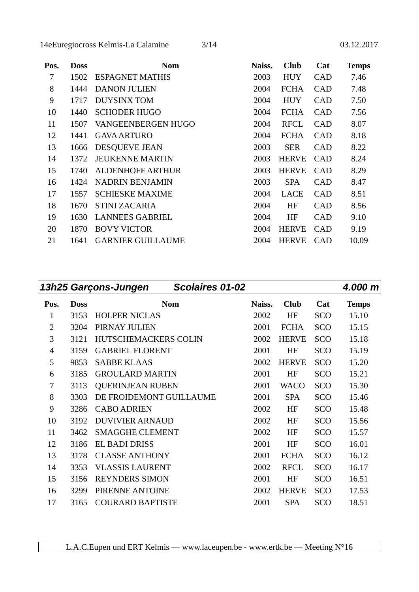| Pos. | <b>Doss</b> | <b>Nom</b>               | Naiss. | <b>Club</b>  | Cat        | <b>Temps</b> |
|------|-------------|--------------------------|--------|--------------|------------|--------------|
| 7    | 1502        | <b>ESPAGNET MATHIS</b>   | 2003   | <b>HUY</b>   | <b>CAD</b> | 7.46         |
| 8    | 1444        | <b>DANON JULIEN</b>      | 2004   | <b>FCHA</b>  | <b>CAD</b> | 7.48         |
| 9    | 1717        | <b>DUYSINX TOM</b>       | 2004   | <b>HUY</b>   | <b>CAD</b> | 7.50         |
| 10   | 1440        | <b>SCHODER HUGO</b>      | 2004   | <b>FCHA</b>  | <b>CAD</b> | 7.56         |
| 11   | 1507        | VANGEENBERGEN HUGO       | 2004   | <b>RFCL</b>  | <b>CAD</b> | 8.07         |
| 12   | 1441        | <b>GAVA ARTURO</b>       | 2004   | <b>FCHA</b>  | <b>CAD</b> | 8.18         |
| 13   | 1666        | <b>DESQUEVE JEAN</b>     | 2003   | <b>SER</b>   | <b>CAD</b> | 8.22         |
| 14   | 1372        | <b>JEUKENNE MARTIN</b>   | 2003   | <b>HERVE</b> | <b>CAD</b> | 8.24         |
| 15   | 1740        | <b>ALDENHOFF ARTHUR</b>  | 2003   | <b>HERVE</b> | <b>CAD</b> | 8.29         |
| 16   | 1424        | <b>NADRIN BENJAMIN</b>   | 2003   | <b>SPA</b>   | <b>CAD</b> | 8.47         |
| 17   | 1557        | <b>SCHIESKE MAXIME</b>   | 2004   | LACE         | <b>CAD</b> | 8.51         |
| 18   | 1670        | <b>STINI ZACARIA</b>     | 2004   | HF           | <b>CAD</b> | 8.56         |
| 19   | 1630        | <b>LANNEES GABRIEL</b>   | 2004   | HF           | <b>CAD</b> | 9.10         |
| 20   | 1870        | <b>BOVY VICTOR</b>       | 2004   | <b>HERVE</b> | <b>CAD</b> | 9.19         |
| 21   | 1641        | <b>GARNIER GUILLAUME</b> | 2004   | <b>HERVE</b> | <b>CAD</b> | 10.09        |

| 13h25 Garçons-Jungen<br>Scolaires 01-02<br>4.000 m |             |                         |        |              |            |              |
|----------------------------------------------------|-------------|-------------------------|--------|--------------|------------|--------------|
| Pos.                                               | <b>Doss</b> | <b>Nom</b>              | Naiss. | <b>Club</b>  | Cat        | <b>Temps</b> |
| $\mathbf{1}$                                       | 3153        | <b>HOLPER NICLAS</b>    | 2002   | <b>HF</b>    | SCO        | 15.10        |
| $\overline{2}$                                     | 3204        | PIRNAY JULIEN           | 2001   | <b>FCHA</b>  | SCO        | 15.15        |
| 3                                                  | 3121        | HUTSCHEMACKERS COLIN    | 2002   | <b>HERVE</b> | SCO        | 15.18        |
| 4                                                  | 3159        | <b>GABRIEL FLORENT</b>  | 2001   | <b>HF</b>    | SCO        | 15.19        |
| 5                                                  | 9853        | <b>SABBE KLAAS</b>      | 2002   | <b>HERVE</b> | <b>SCO</b> | 15.20        |
| 6                                                  | 3185        | <b>GROULARD MARTIN</b>  | 2001   | <b>HF</b>    | SCO        | 15.21        |
| 7                                                  | 3113        | <b>QUERINJEAN RUBEN</b> | 2001   | <b>WACO</b>  | SCO        | 15.30        |
| 8                                                  | 3303        | DE FROIDEMONT GUILLAUME | 2001   | <b>SPA</b>   | SCO        | 15.46        |
| 9                                                  | 3286        | <b>CABO ADRIEN</b>      | 2002   | HF           | SCO        | 15.48        |
| 10                                                 | 3192        | <b>DUVIVIER ARNAUD</b>  | 2002   | <b>HF</b>    | SCO        | 15.56        |
| 11                                                 | 3462        | <b>SMAGGHE CLEMENT</b>  | 2002   | <b>HF</b>    | SCO        | 15.57        |
| 12                                                 | 3186        | <b>EL BADI DRISS</b>    | 2001   | <b>HF</b>    | SCO        | 16.01        |
| 13                                                 | 3178        | <b>CLASSE ANTHONY</b>   | 2001   | <b>FCHA</b>  | SCO        | 16.12        |
| 14                                                 | 3353        | <b>VLASSIS LAURENT</b>  | 2002   | <b>RFCL</b>  | SCO        | 16.17        |
| 15                                                 | 3156        | <b>REYNDERS SIMON</b>   | 2001   | <b>HF</b>    | SCO        | 16.51        |
| 16                                                 | 3299        | PIRENNE ANTOINE         | 2002   | <b>HERVE</b> | <b>SCO</b> | 17.53        |
| 17                                                 | 3165        | <b>COURARD BAPTISTE</b> | 2001   | <b>SPA</b>   | SCO        | 18.51        |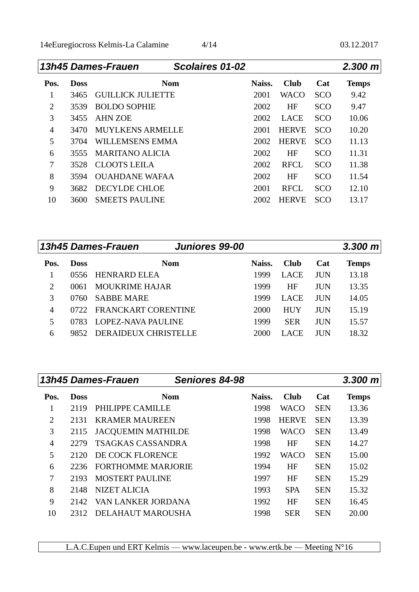| 2.300 m<br>Scolaires 01-02<br>13h45 Dames-Frauen |             |                          |        |              |            |              |
|--------------------------------------------------|-------------|--------------------------|--------|--------------|------------|--------------|
| Pos.                                             | <b>Doss</b> | <b>Nom</b>               | Naiss. | <b>Club</b>  | Cat        | <b>Temps</b> |
| $\mathbf{1}$                                     | 3465        | <b>GUILLICK JULIETTE</b> | 2001   | <b>WACO</b>  | <b>SCO</b> | 9.42         |
| 2                                                | 3539        | <b>BOLDO SOPHIE</b>      | 2002   | <b>HF</b>    | <b>SCO</b> | 9.47         |
| 3                                                | 3455        | <b>AHN ZOE</b>           | 2002   | <b>LACE</b>  | <b>SCO</b> | 10.06        |
| $\overline{4}$                                   | 3470        | <b>MUYLKENS ARMELLE</b>  | 2001   | <b>HERVE</b> | <b>SCO</b> | 10.20        |
| 5                                                | 3704        | <b>WILLEMSENS EMMA</b>   | 2002   | <b>HERVE</b> | <b>SCO</b> | 11.13        |
| 6                                                | 3555        | <b>MARITANO ALICIA</b>   | 2002   | <b>HF</b>    | <b>SCO</b> | 11.31        |
| 7                                                | 3528        | <b>CLOOTS LEILA</b>      | 2002   | <b>RFCL</b>  | <b>SCO</b> | 11.38        |
| 8                                                | 3594        | <b>OUAHDANE WAFAA</b>    | 2002   | <b>HF</b>    | <b>SCO</b> | 11.54        |
| 9                                                | 3682        | <b>DECYLDE CHLOE</b>     | 2001   | <b>RFCL</b>  | <b>SCO</b> | 12.10        |
| 10                                               | 3600        | <b>SMEETS PAULINE</b>    | 2002   | <b>HERVE</b> | <b>SCO</b> | 13.17        |
|                                                  |             |                          |        |              |            |              |

| 13h45 Dames-Frauen          |             |                            |            | Juniores 99-00 |        |             |            | $3,300 \; \rm{m}$ |
|-----------------------------|-------------|----------------------------|------------|----------------|--------|-------------|------------|-------------------|
| Pos.                        | <b>Doss</b> |                            | <b>Nom</b> |                | Naiss. | <b>Club</b> | Cat        | <b>Temps</b>      |
|                             | 0556        | <b>HENRARD ELEA</b>        |            |                | 1999   | <b>LACE</b> | <b>JUN</b> | 13.18             |
| $\mathcal{D}_{\mathcal{A}}$ | 0061        | <b>MOUKRIME HAJAR</b>      |            |                | 1999   | HF          | <b>JUN</b> | 13.35             |
| 3                           | 0760        | <b>SABBE MARE</b>          |            |                | 1999   | <b>LACE</b> | <b>JUN</b> | 14.05             |
| 4                           | 0722        | <b>FRANCKART CORENTINE</b> |            |                | 2000   | <b>HUY</b>  | <b>JUN</b> | 15.19             |
| 5                           | 0783        | LOPEZ-NAVA PAULINE         |            |                | 1999   | <b>SER</b>  | <b>JUN</b> | 15.57             |
| 6                           | 9852        | DERAIDEUX CHRISTELLE       |            |                | 2000   | LACE        | <b>JUN</b> | 18.32             |
|                             |             |                            |            |                |        |             |            |                   |

|      |             | 13h45 Dames-Frauen<br>Seniores 84-98 |        |              |            | 3.300 m      |
|------|-------------|--------------------------------------|--------|--------------|------------|--------------|
| Pos. | <b>Doss</b> | <b>Nom</b>                           | Naiss. | <b>Club</b>  | Cat        | <b>Temps</b> |
| 1    | 2119        | PHILIPPE CAMILLE                     | 1998   | <b>WACO</b>  | <b>SEN</b> | 13.36        |
| 2    | 2131        | <b>KRAMER MAUREEN</b>                | 1998   | <b>HERVE</b> | <b>SEN</b> | 13.39        |
| 3    | 2115        | <b>JACQUEMIN MATHILDE</b>            | 1998   | <b>WACO</b>  | <b>SEN</b> | 13.49        |
| 4    | 2279        | TSAGKAS CASSANDRA                    | 1998   | HF           | <b>SEN</b> | 14.27        |
| 5    | 2120        | DE COCK FLORENCE                     | 1992   | <b>WACO</b>  | <b>SEN</b> | 15.00        |
| 6    | 2236        | <b>FORTHOMME MARJORIE</b>            | 1994   | <b>HF</b>    | <b>SEN</b> | 15.02        |
| 7    | 2193        | <b>MOSTERT PAULINE</b>               | 1997   | HF           | <b>SEN</b> | 15.29        |
| 8    | 2148        | NIZET ALICIA                         | 1993   | <b>SPA</b>   | <b>SEN</b> | 15.32        |
| 9    | 2142        | VAN LANKER JORDANA                   | 1992   | <b>HF</b>    | <b>SEN</b> | 16.45        |
| 10   | 2312        | <b>DELAHAUT MAROUSHA</b>             | 1998   | <b>SER</b>   | <b>SEN</b> | 20.00        |
|      |             |                                      |        |              |            |              |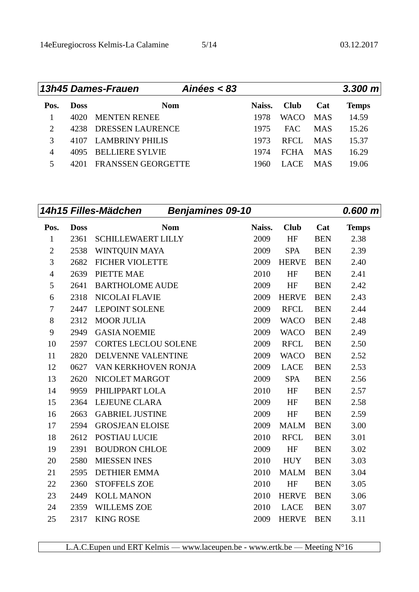| 13h45 Dames-Frauen |             |                           | Ainées $< 83$ |        |             |            | $3.300 \; \text{m}$ |
|--------------------|-------------|---------------------------|---------------|--------|-------------|------------|---------------------|
| Pos.               | <b>Doss</b> | <b>Nom</b>                |               | Naiss. | <b>Club</b> | Cat        | <b>Temps</b>        |
|                    | 4020        | <b>MENTEN RENEE</b>       |               | 1978   | <b>WACO</b> | <b>MAS</b> | 14.59               |
| 2                  | 4238        | <b>DRESSEN LAURENCE</b>   |               | 1975   | FAC         | <b>MAS</b> | 15.26               |
| 3                  | 4107        | <b>LAMBRINY PHILIS</b>    |               | 1973   | RECL.       | <b>MAS</b> | 15.37               |
| 4                  | 4095        | <b>BELLIERE SYLVIE</b>    |               | 1974   | <b>FCHA</b> | <b>MAS</b> | 16.29               |
| 5                  | 4201        | <b>FRANSSEN GEORGETTE</b> |               | 1960   | LACE.       | <b>MAS</b> | 19.06               |
|                    |             |                           |               |        |             |            |                     |

|                |             | 14h15 Filles-Mädchen<br><b>Benjamines 09-10</b> |        |              |            | 0.600 m      |
|----------------|-------------|-------------------------------------------------|--------|--------------|------------|--------------|
| Pos.           | <b>Doss</b> | <b>Nom</b>                                      | Naiss. | <b>Club</b>  | Cat        | <b>Temps</b> |
| $\mathbf{1}$   | 2361        | <b>SCHILLEWAERT LILLY</b>                       | 2009   | HF           | <b>BEN</b> | 2.38         |
| $\overline{2}$ | 2538        | <b>WINTQUIN MAYA</b>                            | 2009   | <b>SPA</b>   | <b>BEN</b> | 2.39         |
| 3              | 2682        | <b>FICHER VIOLETTE</b>                          | 2009   | <b>HERVE</b> | <b>BEN</b> | 2.40         |
| $\overline{4}$ | 2639        | PIETTE MAE                                      | 2010   | HF           | <b>BEN</b> | 2.41         |
| 5              | 2641        | <b>BARTHOLOME AUDE</b>                          | 2009   | HF           | <b>BEN</b> | 2.42         |
| 6              | 2318        | <b>NICOLAI FLAVIE</b>                           | 2009   | <b>HERVE</b> | <b>BEN</b> | 2.43         |
| $\tau$         | 2447        | <b>LEPOINT SOLENE</b>                           | 2009   | <b>RFCL</b>  | <b>BEN</b> | 2.44         |
| 8              | 2312        | <b>MOOR JULIA</b>                               | 2009   | <b>WACO</b>  | <b>BEN</b> | 2.48         |
| 9              | 2949        | <b>GASIA NOEMIE</b>                             | 2009   | <b>WACO</b>  | <b>BEN</b> | 2.49         |
| 10             | 2597        | <b>CORTES LECLOU SOLENE</b>                     | 2009   | <b>RFCL</b>  | <b>BEN</b> | 2.50         |
| 11             | 2820        | DELVENNE VALENTINE                              | 2009   | <b>WACO</b>  | <b>BEN</b> | 2.52         |
| 12             | 0627        | VAN KERKHOVEN RONJA                             | 2009   | LACE         | <b>BEN</b> | 2.53         |
| 13             | 2620        | NICOLET MARGOT                                  | 2009   | <b>SPA</b>   | <b>BEN</b> | 2.56         |
| 14             | 9959        | PHILIPPART LOLA                                 | 2010   | HF           | <b>BEN</b> | 2.57         |
| 15             | 2364        | LEJEUNE CLARA                                   | 2009   | HF           | <b>BEN</b> | 2.58         |
| 16             | 2663        | <b>GABRIEL JUSTINE</b>                          | 2009   | HF           | <b>BEN</b> | 2.59         |
| 17             | 2594        | <b>GROSJEAN ELOISE</b>                          | 2009   | <b>MALM</b>  | <b>BEN</b> | 3.00         |
| 18             | 2612        | POSTIAU LUCIE                                   | 2010   | <b>RFCL</b>  | <b>BEN</b> | 3.01         |
| 19             | 2391        | <b>BOUDRON CHLOE</b>                            | 2009   | HF           | <b>BEN</b> | 3.02         |
| 20             | 2580        | <b>MIESSEN INES</b>                             | 2010   | <b>HUY</b>   | <b>BEN</b> | 3.03         |
| 21             | 2595        | <b>DETHIER EMMA</b>                             | 2010   | <b>MALM</b>  | <b>BEN</b> | 3.04         |
| 22             | 2360        | <b>STOFFELS ZOE</b>                             | 2010   | HF           | <b>BEN</b> | 3.05         |
| 23             | 2449        | <b>KOLL MANON</b>                               | 2010   | <b>HERVE</b> | <b>BEN</b> | 3.06         |
| 24             | 2359        | <b>WILLEMS ZOE</b>                              | 2010   | <b>LACE</b>  | <b>BEN</b> | 3.07         |
| 25             | 2317        | <b>KING ROSE</b>                                | 2009   | <b>HERVE</b> | <b>BEN</b> | 3.11         |
|                |             |                                                 |        |              |            |              |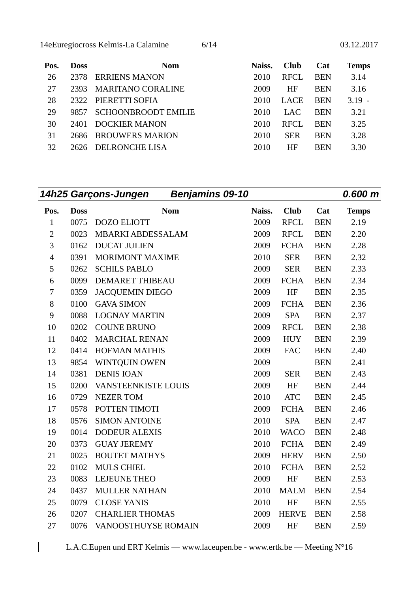| Pos. | <b>Doss</b> | <b>Nom</b>                 | Naiss. | <b>Club</b> | Cat        | <b>Temps</b> |
|------|-------------|----------------------------|--------|-------------|------------|--------------|
| 26   | 2378        | <b>ERRIENS MANON</b>       | 2010   | <b>RFCL</b> | <b>BEN</b> | 3.14         |
| 27   | 2393        | <b>MARITANO CORALINE</b>   | 2009   | HF          | <b>BEN</b> | 3.16         |
| 28   | 2322        | PIERETTI SOFIA             | 2010   | LACE        | <b>BEN</b> | $3.19 -$     |
| 29   | 9857        | <b>SCHOONBROODT EMILIE</b> | 2010   | LAC.        | <b>BEN</b> | 3.21         |
| 30   | 2401        | <b>DOCKIER MANON</b>       | 2010   | RFCL.       | <b>BEN</b> | 3.25         |
| 31   | 2686        | <b>BROUWERS MARION</b>     | 2010   | <b>SER</b>  | <b>BEN</b> | 3.28         |
| 32   |             | 2626 DELRONCHE LISA        | 2010   | HF          | <b>BEN</b> | 3.30         |

| <b>Benjamins 09-10</b><br>14h25 Garçons-Jungen |             |                        |            |        |              | 0.600 m    |              |
|------------------------------------------------|-------------|------------------------|------------|--------|--------------|------------|--------------|
| Pos.                                           | <b>Doss</b> |                        | <b>Nom</b> | Naiss. | <b>Club</b>  | Cat        | <b>Temps</b> |
| 1                                              | 0075        | <b>DOZO ELIOTT</b>     |            | 2009   | <b>RFCL</b>  | <b>BEN</b> | 2.19         |
| $\overline{2}$                                 | 0023        | MBARKI ABDESSALAM      |            | 2009   | <b>RFCL</b>  | <b>BEN</b> | 2.20         |
| 3                                              | 0162        | <b>DUCAT JULIEN</b>    |            | 2009   | <b>FCHA</b>  | <b>BEN</b> | 2.28         |
| $\overline{4}$                                 | 0391        | <b>MORIMONT MAXIME</b> |            | 2010   | <b>SER</b>   | <b>BEN</b> | 2.32         |
| 5                                              | 0262        | <b>SCHILS PABLO</b>    |            | 2009   | <b>SER</b>   | <b>BEN</b> | 2.33         |
| 6                                              | 0099        | <b>DEMARET THIBEAU</b> |            | 2009   | <b>FCHA</b>  | <b>BEN</b> | 2.34         |
| 7                                              | 0359        | <b>JACQUEMIN DIEGO</b> |            | 2009   | HF           | <b>BEN</b> | 2.35         |
| 8                                              | 0100        | <b>GAVA SIMON</b>      |            | 2009   | <b>FCHA</b>  | <b>BEN</b> | 2.36         |
| 9                                              | 0088        | <b>LOGNAY MARTIN</b>   |            | 2009   | <b>SPA</b>   | <b>BEN</b> | 2.37         |
| 10                                             | 0202        | <b>COUNE BRUNO</b>     |            | 2009   | <b>RFCL</b>  | <b>BEN</b> | 2.38         |
| 11                                             | 0402        | <b>MARCHAL RENAN</b>   |            | 2009   | <b>HUY</b>   | <b>BEN</b> | 2.39         |
| 12                                             | 0414        | <b>HOFMAN MATHIS</b>   |            | 2009   | <b>FAC</b>   | <b>BEN</b> | 2.40         |
| 13                                             | 9854        | WINTQUIN OWEN          |            | 2009   |              | <b>BEN</b> | 2.41         |
| 14                                             | 0381        | <b>DENIS IOAN</b>      |            | 2009   | <b>SER</b>   | <b>BEN</b> | 2.43         |
| 15                                             | 0200        | VANSTEENKISTE LOUIS    |            | 2009   | HF           | <b>BEN</b> | 2.44         |
| 16                                             | 0729        | <b>NEZER TOM</b>       |            | 2010   | <b>ATC</b>   | <b>BEN</b> | 2.45         |
| 17                                             | 0578        | POTTEN TIMOTI          |            | 2009   | <b>FCHA</b>  | <b>BEN</b> | 2.46         |
| 18                                             | 0576        | <b>SIMON ANTOINE</b>   |            | 2010   | <b>SPA</b>   | <b>BEN</b> | 2.47         |
| 19                                             | 0014        | <b>DODEUR ALEXIS</b>   |            | 2010   | <b>WACO</b>  | <b>BEN</b> | 2.48         |
| 20                                             | 0373        | <b>GUAY JEREMY</b>     |            | 2010   | <b>FCHA</b>  | <b>BEN</b> | 2.49         |
| 21                                             | 0025        | <b>BOUTET MATHYS</b>   |            | 2009   | <b>HERV</b>  | <b>BEN</b> | 2.50         |
| 22                                             | 0102        | <b>MULS CHIEL</b>      |            | 2010   | <b>FCHA</b>  | <b>BEN</b> | 2.52         |
| 23                                             | 0083        | LEJEUNE THEO           |            | 2009   | HF           | <b>BEN</b> | 2.53         |
| 24                                             | 0437        | <b>MULLER NATHAN</b>   |            | 2010   | <b>MALM</b>  | <b>BEN</b> | 2.54         |
| 25                                             | 0079        | <b>CLOSE YANIS</b>     |            | 2010   | HF           | <b>BEN</b> | 2.55         |
| 26                                             | 0207        | <b>CHARLIER THOMAS</b> |            | 2009   | <b>HERVE</b> | <b>BEN</b> | 2.58         |
| 27                                             | 0076        | VANOOSTHUYSE ROMAIN    |            | 2009   | HF           | <b>BEN</b> | 2.59         |
|                                                |             |                        |            |        |              |            |              |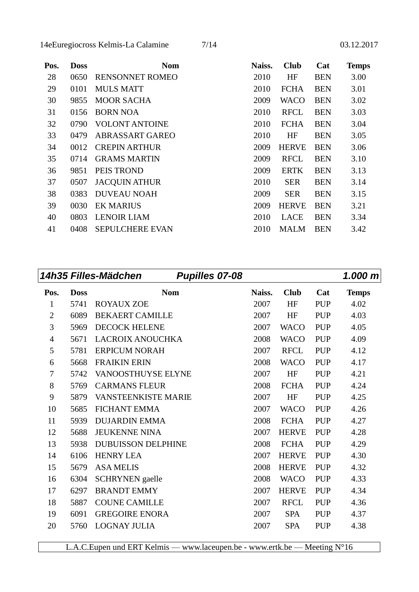| Pos. | <b>Doss</b> | <b>Nom</b>             | Naiss. | <b>Club</b>  | Cat        | <b>Temps</b> |
|------|-------------|------------------------|--------|--------------|------------|--------------|
| 28   | 0650        | <b>RENSONNET ROMEO</b> | 2010   | HF           | <b>BEN</b> | 3.00         |
| 29   | 0101        | <b>MULS MATT</b>       | 2010   | <b>FCHA</b>  | <b>BEN</b> | 3.01         |
| 30   | 9855        | <b>MOOR SACHA</b>      | 2009   | <b>WACO</b>  | <b>BEN</b> | 3.02         |
| 31   | 0156        | <b>BORN NOA</b>        | 2010   | <b>RFCL</b>  | <b>BEN</b> | 3.03         |
| 32   | 0790        | <b>VOLONT ANTOINE</b>  | 2010   | <b>FCHA</b>  | <b>BEN</b> | 3.04         |
| 33   | 0479        | <b>ABRASSART GAREO</b> | 2010   | HF           | <b>BEN</b> | 3.05         |
| 34   | 0012        | <b>CREPIN ARTHUR</b>   | 2009   | <b>HERVE</b> | <b>BEN</b> | 3.06         |
| 35   | 0714        | <b>GRAMS MARTIN</b>    | 2009   | <b>RFCL</b>  | <b>BEN</b> | 3.10         |
| 36   | 9851        | PEIS TROND             | 2009   | <b>ERTK</b>  | <b>BEN</b> | 3.13         |
| 37   | 0507        | <b>JACQUIN ATHUR</b>   | 2010   | <b>SER</b>   | <b>BEN</b> | 3.14         |
| 38   | 0383        | <b>DUVEAU NOAH</b>     | 2009   | <b>SER</b>   | <b>BEN</b> | 3.15         |
| 39   | 0030        | <b>EK MARIUS</b>       | 2009   | <b>HERVE</b> | <b>BEN</b> | 3.21         |
| 40   | 0803        | <b>LENOIR LIAM</b>     | 2010   | LACE         | <b>BEN</b> | 3.34         |
| 41   | 0408        | <b>SEPULCHERE EVAN</b> | 2010   | <b>MALM</b>  | <b>BEN</b> | 3.42         |

|                |             | 14h35 Filles-Mädchen<br><b>Pupilles 07-08</b> |        |              |            | 1.000 m      |
|----------------|-------------|-----------------------------------------------|--------|--------------|------------|--------------|
| Pos.           | <b>Doss</b> | <b>Nom</b>                                    | Naiss. | <b>Club</b>  | Cat        | <b>Temps</b> |
| $\mathbf{1}$   | 5741        | <b>ROYAUX ZOE</b>                             | 2007   | HF           | <b>PUP</b> | 4.02         |
| $\mathbf{2}$   | 6089        | <b>BEKAERT CAMILLE</b>                        | 2007   | $\rm{HF}$    | <b>PUP</b> | 4.03         |
| 3              | 5969        | <b>DECOCK HELENE</b>                          | 2007   | <b>WACO</b>  | <b>PUP</b> | 4.05         |
| $\overline{4}$ | 5671        | <b>LACROIX ANOUCHKA</b>                       | 2008   | <b>WACO</b>  | <b>PUP</b> | 4.09         |
| 5              | 5781        | <b>ERPICUM NORAH</b>                          | 2007   | <b>RFCL</b>  | <b>PUP</b> | 4.12         |
| 6              | 5668        | <b>FRAIKIN ERIN</b>                           | 2008   | <b>WACO</b>  | <b>PUP</b> | 4.17         |
| 7              | 5742        | VANOOSTHUYSE ELYNE                            | 2007   | HF           | <b>PUP</b> | 4.21         |
| 8              | 5769        | <b>CARMANS FLEUR</b>                          | 2008   | <b>FCHA</b>  | <b>PUP</b> | 4.24         |
| 9              | 5879        | VANSTEENKISTE MARIE                           | 2007   | HF           | <b>PUP</b> | 4.25         |
| 10             | 5685        | <b>FICHANT EMMA</b>                           | 2007   | <b>WACO</b>  | <b>PUP</b> | 4.26         |
| 11             | 5939        | <b>DUJARDIN EMMA</b>                          | 2008   | <b>FCHA</b>  | <b>PUP</b> | 4.27         |
| 12             | 5688        | <b>JEUKENNE NINA</b>                          | 2007   | <b>HERVE</b> | <b>PUP</b> | 4.28         |
| 13             | 5938        | <b>DUBUISSON DELPHINE</b>                     | 2008   | <b>FCHA</b>  | <b>PUP</b> | 4.29         |
| 14             | 6106        | <b>HENRY LEA</b>                              | 2007   | <b>HERVE</b> | <b>PUP</b> | 4.30         |
| 15             | 5679        | <b>ASA MELIS</b>                              | 2008   | <b>HERVE</b> | <b>PUP</b> | 4.32         |
| 16             | 6304        | <b>SCHRYNEN</b> gaelle                        | 2008   | <b>WACO</b>  | <b>PUP</b> | 4.33         |
| 17             | 6297        | <b>BRANDT EMMY</b>                            | 2007   | <b>HERVE</b> | <b>PUP</b> | 4.34         |
| 18             | 5887        | <b>COUNE CAMILLE</b>                          | 2007   | <b>RFCL</b>  | <b>PUP</b> | 4.36         |
| 19             | 6091        | <b>GREGOIRE ENORA</b>                         | 2007   | <b>SPA</b>   | <b>PUP</b> | 4.37         |
| 20             | 5760        | <b>LOGNAY JULIA</b>                           | 2007   | <b>SPA</b>   | <b>PUP</b> | 4.38         |
|                |             |                                               |        |              |            |              |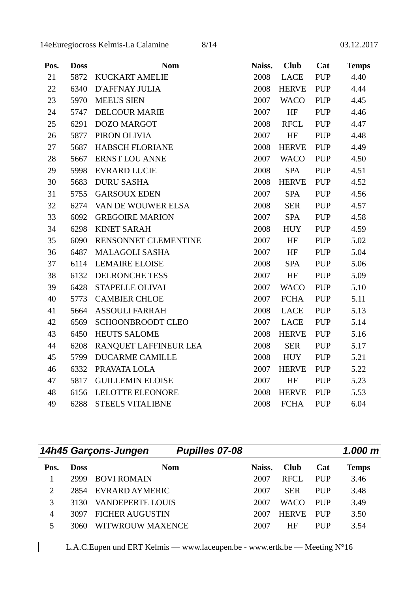| Pos. | <b>Doss</b> | <b>Nom</b>               | Naiss. | <b>Club</b>  | Cat        | <b>Temps</b> |
|------|-------------|--------------------------|--------|--------------|------------|--------------|
| 21   | 5872        | <b>KUCKART AMELIE</b>    | 2008   | LACE         | <b>PUP</b> | 4.40         |
| 22   | 6340        | <b>D'AFFNAY JULIA</b>    | 2008   | <b>HERVE</b> | PUP        | 4.44         |
| 23   | 5970        | <b>MEEUS SIEN</b>        | 2007   | <b>WACO</b>  | <b>PUP</b> | 4.45         |
| 24   | 5747        | <b>DELCOUR MARIE</b>     | 2007   | HF           | <b>PUP</b> | 4.46         |
| 25   | 6291        | DOZO MARGOT              | 2008   | <b>RFCL</b>  | <b>PUP</b> | 4.47         |
| 26   | 5877        | PIRON OLIVIA             | 2007   | HF           | <b>PUP</b> | 4.48         |
| 27   | 5687        | HABSCH FLORIANE          | 2008   | <b>HERVE</b> | <b>PUP</b> | 4.49         |
| 28   | 5667        | <b>ERNST LOU ANNE</b>    | 2007   | <b>WACO</b>  | <b>PUP</b> | 4.50         |
| 29   | 5998        | <b>EVRARD LUCIE</b>      | 2008   | <b>SPA</b>   | <b>PUP</b> | 4.51         |
| 30   | 5683        | <b>DURU SASHA</b>        | 2008   | <b>HERVE</b> | <b>PUP</b> | 4.52         |
| 31   | 5755        | <b>GARSOUX EDEN</b>      | 2007   | <b>SPA</b>   | <b>PUP</b> | 4.56         |
| 32   | 6274        | VAN DE WOUWER ELSA       | 2008   | <b>SER</b>   | <b>PUP</b> | 4.57         |
| 33   | 6092        | <b>GREGOIRE MARION</b>   | 2007   | <b>SPA</b>   | <b>PUP</b> | 4.58         |
| 34   | 6298        | <b>KINET SARAH</b>       | 2008   | <b>HUY</b>   | <b>PUP</b> | 4.59         |
| 35   | 6090        | RENSONNET CLEMENTINE     | 2007   | HF           | <b>PUP</b> | 5.02         |
| 36   | 6487        | <b>MALAGOLI SASHA</b>    | 2007   | HF           | <b>PUP</b> | 5.04         |
| 37   | 6114        | <b>LEMAIRE ELOISE</b>    | 2008   | <b>SPA</b>   | <b>PUP</b> | 5.06         |
| 38   | 6132        | DELRONCHE TESS           | 2007   | HF           | <b>PUP</b> | 5.09         |
| 39   | 6428        | STAPELLE OLIVAI          | 2007   | <b>WACO</b>  | <b>PUP</b> | 5.10         |
| 40   | 5773        | <b>CAMBIER CHLOE</b>     | 2007   | <b>FCHA</b>  | <b>PUP</b> | 5.11         |
| 41   | 5664        | <b>ASSOULI FARRAH</b>    | 2008   | LACE         | <b>PUP</b> | 5.13         |
| 42   | 6569        | <b>SCHOONBROODT CLEO</b> | 2007   | LACE         | <b>PUP</b> | 5.14         |
| 43   | 6450        | <b>HEUTS SALOME</b>      | 2008   | <b>HERVE</b> | <b>PUP</b> | 5.16         |
| 44   | 6208        | RANQUET LAFFINEUR LEA    | 2008   | <b>SER</b>   | <b>PUP</b> | 5.17         |
| 45   | 5799        | <b>DUCARME CAMILLE</b>   | 2008   | HUY          | <b>PUP</b> | 5.21         |
| 46   | 6332        | PRAVATA LOLA             | 2007   | <b>HERVE</b> | <b>PUP</b> | 5.22         |
| 47   | 5817        | <b>GUILLEMIN ELOISE</b>  | 2007   | HF           | <b>PUP</b> | 5.23         |
| 48   | 6156        | LELOTTE ELEONORE         | 2008   | <b>HERVE</b> | <b>PUP</b> | 5.53         |
| 49   | 6288        | <b>STEELS VITALIBNE</b>  | 2008   | <b>FCHA</b>  | <b>PUP</b> | 6.04         |

|                             |             | 14h45 Garçons-Jungen    | <b>Pupilles 07-08</b> |        |              |            | 1.000 $m$    |
|-----------------------------|-------------|-------------------------|-----------------------|--------|--------------|------------|--------------|
| Pos.                        | <b>Doss</b> |                         | <b>Nom</b>            | Naiss. | <b>Club</b>  | Cat        | <b>Temps</b> |
|                             | 2999        | <b>BOVI ROMAIN</b>      |                       | 2007   | <b>RFCL</b>  | <b>PUP</b> | 3.46         |
| $\mathcal{D}_{\mathcal{A}}$ | 2854        | EVRARD AYMERIC          |                       | 2007   | <b>SER</b>   | <b>PUP</b> | 3.48         |
| 3                           | 3130        | <b>VANDEPERTE LOUIS</b> |                       | 2007   | <b>WACO</b>  | <b>PUP</b> | 3.49         |
| 4                           | 3097        | <b>FICHER AUGUSTIN</b>  |                       | 2007   | <b>HERVE</b> | <b>PUP</b> | 3.50         |
| 5                           | 3060        | WITWROUW MAXENCE        |                       | 2007   | <b>HF</b>    | <b>PUP</b> | 3.54         |
|                             |             |                         |                       |        |              |            |              |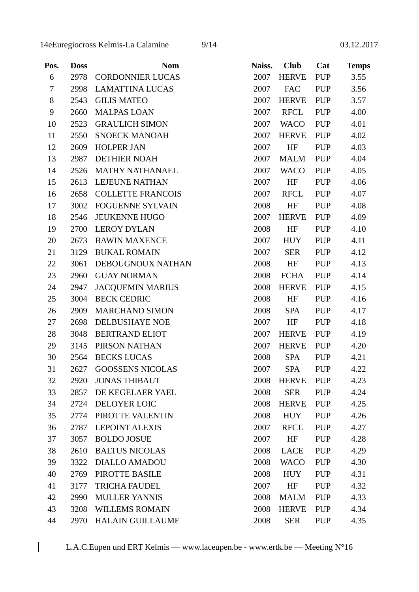| Pos.   | <b>Doss</b> | <b>Nom</b>               | Naiss. | <b>Club</b>  | Cat        | <b>Temps</b> |
|--------|-------------|--------------------------|--------|--------------|------------|--------------|
| 6      | 2978        | <b>CORDONNIER LUCAS</b>  | 2007   | <b>HERVE</b> | <b>PUP</b> | 3.55         |
| $\tau$ | 2998        | <b>LAMATTINA LUCAS</b>   | 2007   | <b>FAC</b>   | <b>PUP</b> | 3.56         |
| $8\,$  | 2543        | <b>GILIS MATEO</b>       | 2007   | <b>HERVE</b> | <b>PUP</b> | 3.57         |
| 9      | 2660        | <b>MALPAS LOAN</b>       | 2007   | <b>RFCL</b>  | <b>PUP</b> | 4.00         |
| 10     | 2523        | <b>GRAULICH SIMON</b>    | 2007   | <b>WACO</b>  | <b>PUP</b> | 4.01         |
| 11     | 2550        | <b>SNOECK MANOAH</b>     | 2007   | <b>HERVE</b> | <b>PUP</b> | 4.02         |
| 12     | 2609        | <b>HOLPER JAN</b>        | 2007   | HF           | <b>PUP</b> | 4.03         |
| 13     | 2987        | <b>DETHIER NOAH</b>      | 2007   | <b>MALM</b>  | <b>PUP</b> | 4.04         |
| 14     | 2526        | <b>MATHY NATHANAEL</b>   | 2007   | <b>WACO</b>  | <b>PUP</b> | 4.05         |
| 15     | 2613        | <b>LEJEUNE NATHAN</b>    | 2007   | HF           | <b>PUP</b> | 4.06         |
| 16     | 2658        | <b>COLLETTE FRANCOIS</b> | 2007   | RFCL         | <b>PUP</b> | 4.07         |
| 17     | 3002        | <b>FOGUENNE SYLVAIN</b>  | 2008   | HF           | <b>PUP</b> | 4.08         |
| 18     | 2546        | JEUKENNE HUGO            | 2007   | <b>HERVE</b> | <b>PUP</b> | 4.09         |
| 19     | 2700        | <b>LEROY DYLAN</b>       | 2008   | HF           | <b>PUP</b> | 4.10         |
| 20     | 2673        | <b>BAWIN MAXENCE</b>     | 2007   | <b>HUY</b>   | <b>PUP</b> | 4.11         |
| 21     | 3129        | <b>BUKAL ROMAIN</b>      | 2007   | <b>SER</b>   | <b>PUP</b> | 4.12         |
| 22     | 3061        | DEBOUGNOUX NATHAN        | 2008   | HF           | <b>PUP</b> | 4.13         |
| 23     | 2960        | <b>GUAY NORMAN</b>       | 2008   | <b>FCHA</b>  | <b>PUP</b> | 4.14         |
| 24     | 2947        | <b>JACQUEMIN MARIUS</b>  | 2008   | <b>HERVE</b> | <b>PUP</b> | 4.15         |
| 25     | 3004        | <b>BECK CEDRIC</b>       | 2008   | HF           | <b>PUP</b> | 4.16         |
| 26     | 2909        | <b>MARCHAND SIMON</b>    | 2008   | <b>SPA</b>   | <b>PUP</b> | 4.17         |
| 27     | 2698        | DELBUSHAYE NOE           | 2007   | HF           | <b>PUP</b> | 4.18         |
| 28     | 3048        | <b>BERTRAND ELIOT</b>    | 2007   | <b>HERVE</b> | <b>PUP</b> | 4.19         |
| 29     | 3145        | PIRSON NATHAN            | 2007   | <b>HERVE</b> | <b>PUP</b> | 4.20         |
| 30     | 2564        | <b>BECKS LUCAS</b>       | 2008   | <b>SPA</b>   | <b>PUP</b> | 4.21         |
| 31     | 2627        | <b>GOOSSENS NICOLAS</b>  | 2007   | <b>SPA</b>   | <b>PUP</b> | 4.22         |
| 32     | 2920        | <b>JONAS THIBAUT</b>     | 2008   | <b>HERVE</b> | <b>PUP</b> | 4.23         |
| 33     | 2857        | DE KEGELAER YAEL         | 2008   | <b>SER</b>   | <b>PUP</b> | 4.24         |
| 34     | 2724        | DELOYER LOIC             | 2008   | <b>HERVE</b> | <b>PUP</b> | 4.25         |
| 35     | 2774        | PIROTTE VALENTIN         | 2008   | <b>HUY</b>   | <b>PUP</b> | 4.26         |
| 36     | 2787        | <b>LEPOINT ALEXIS</b>    | 2007   | <b>RFCL</b>  | <b>PUP</b> | 4.27         |
| 37     | 3057        | <b>BOLDO JOSUE</b>       | 2007   | HF           | <b>PUP</b> | 4.28         |
| 38     | 2610        | <b>BALTUS NICOLAS</b>    | 2008   | <b>LACE</b>  | <b>PUP</b> | 4.29         |
| 39     | 3322        | <b>DIALLO AMADOU</b>     | 2008   | <b>WACO</b>  | <b>PUP</b> | 4.30         |
| 40     | 2769        | PIROTTE BASILE           | 2008   | <b>HUY</b>   | <b>PUP</b> | 4.31         |
| 41     | 3177        | <b>TRICHA FAUDEL</b>     | 2007   | HF           | <b>PUP</b> | 4.32         |
| 42     | 2990        | <b>MULLER YANNIS</b>     | 2008   | <b>MALM</b>  | <b>PUP</b> | 4.33         |
| 43     | 3208        | <b>WILLEMS ROMAIN</b>    | 2008   | <b>HERVE</b> | <b>PUP</b> | 4.34         |
| 44     | 2970        | <b>HALAIN GUILLAUME</b>  | 2008   | <b>SER</b>   | <b>PUP</b> | 4.35         |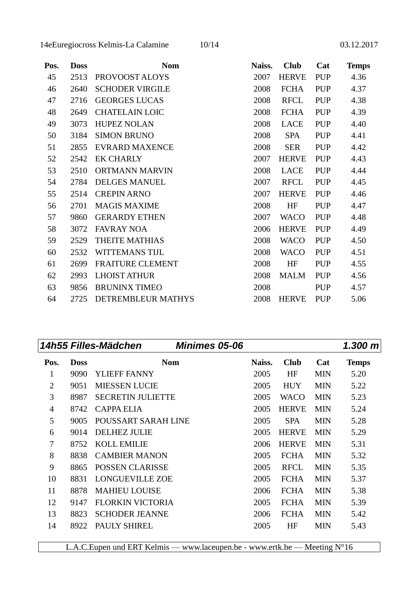| Pos. | <b>Doss</b> | <b>Nom</b>              | Naiss. | <b>Club</b>  | Cat        | <b>Temps</b> |
|------|-------------|-------------------------|--------|--------------|------------|--------------|
| 45   | 2513        | PROVOOST ALOYS          | 2007   | <b>HERVE</b> | <b>PUP</b> | 4.36         |
| 46   | 2640        | <b>SCHODER VIRGILE</b>  | 2008   | <b>FCHA</b>  | <b>PUP</b> | 4.37         |
| 47   | 2716        | <b>GEORGES LUCAS</b>    | 2008   | <b>RFCL</b>  | <b>PUP</b> | 4.38         |
| 48   | 2649        | <b>CHATELAIN LOIC</b>   | 2008   | <b>FCHA</b>  | <b>PUP</b> | 4.39         |
| 49   | 3073        | <b>HUPEZ NOLAN</b>      | 2008   | LACE         | <b>PUP</b> | 4.40         |
| 50   | 3184        | <b>SIMON BRUNO</b>      | 2008   | <b>SPA</b>   | <b>PUP</b> | 4.41         |
| 51   | 2855        | <b>EVRARD MAXENCE</b>   | 2008   | <b>SER</b>   | <b>PUP</b> | 4.42         |
| 52   | 2542        | <b>EK CHARLY</b>        | 2007   | <b>HERVE</b> | <b>PUP</b> | 4.43         |
| 53   | 2510        | ORTMANN MARVIN          | 2008   | LACE         | <b>PUP</b> | 4.44         |
| 54   | 2784        | <b>DELGES MANUEL</b>    | 2007   | <b>RFCL</b>  | <b>PUP</b> | 4.45         |
| 55   | 2514        | <b>CREPIN ARNO</b>      | 2007   | <b>HERVE</b> | <b>PUP</b> | 4.46         |
| 56   | 2701        | <b>MAGIS MAXIME</b>     | 2008   | HF           | <b>PUP</b> | 4.47         |
| 57   | 9860        | <b>GERARDY ETHEN</b>    | 2007   | <b>WACO</b>  | <b>PUP</b> | 4.48         |
| 58   | 3072        | <b>FAVRAY NOA</b>       | 2006   | <b>HERVE</b> | <b>PUP</b> | 4.49         |
| 59   | 2529        | THEITE MATHIAS          | 2008   | <b>WACO</b>  | <b>PUP</b> | 4.50         |
| 60   | 2532        | <b>WITTEMANS TIJL</b>   | 2008   | <b>WACO</b>  | <b>PUP</b> | 4.51         |
| 61   | 2699        | <b>FRAITURE CLEMENT</b> | 2008   | HF           | <b>PUP</b> | 4.55         |
| 62   | 2993        | <b>LHOIST ATHUR</b>     | 2008   | <b>MALM</b>  | <b>PUP</b> | 4.56         |
| 63   | 9856        | <b>BRUNINX TIMEO</b>    | 2008   |              | <b>PUP</b> | 4.57         |
| 64   | 2725        | DETREMBLEUR MATHYS      | 2008   | <b>HERVE</b> | <b>PUP</b> | 5.06         |

|                |             | 14h55 Filles-Mädchen<br><i><b>Minimes 05-06</b></i> |        |              |            | 1.300 m      |
|----------------|-------------|-----------------------------------------------------|--------|--------------|------------|--------------|
| Pos.           | <b>Doss</b> | <b>Nom</b>                                          | Naiss. | <b>Club</b>  | Cat        | <b>Temps</b> |
| -1             | 9090        | YLIEFF FANNY                                        | 2005   | HF           | <b>MIN</b> | 5.20         |
| $\overline{2}$ | 9051        | <b>MIESSEN LUCIE</b>                                | 2005   | <b>HUY</b>   | <b>MIN</b> | 5.22         |
| 3              | 8987        | <b>SECRETIN JULIETTE</b>                            | 2005   | <b>WACO</b>  | <b>MIN</b> | 5.23         |
| $\overline{4}$ | 8742        | <b>CAPPA ELIA</b>                                   | 2005   | <b>HERVE</b> | <b>MIN</b> | 5.24         |
| 5              | 9005        | POUSSART SARAH LINE                                 | 2005   | <b>SPA</b>   | <b>MIN</b> | 5.28         |
| 6              | 9014        | <b>DELHEZ JULIE</b>                                 | 2005   | <b>HERVE</b> | <b>MIN</b> | 5.29         |
| 7              | 8752        | <b>KOLL EMILIE</b>                                  | 2006   | <b>HERVE</b> | <b>MIN</b> | 5.31         |
| 8              | 8838        | <b>CAMBIER MANON</b>                                | 2005   | <b>FCHA</b>  | <b>MIN</b> | 5.32         |
| 9              | 8865        | <b>POSSEN CLARISSE</b>                              | 2005   | <b>RFCL</b>  | <b>MIN</b> | 5.35         |
| 10             | 8831        | <b>LONGUEVILLE ZOE</b>                              | 2005   | <b>FCHA</b>  | <b>MIN</b> | 5.37         |
| 11             | 8878        | <b>MAHIEU LOUISE</b>                                | 2006   | <b>FCHA</b>  | <b>MIN</b> | 5.38         |
| 12             | 9147        | <b>FLORKIN VICTORIA</b>                             | 2005   | <b>FCHA</b>  | <b>MIN</b> | 5.39         |
| 13             | 8823        | <b>SCHODER JEANNE</b>                               | 2006   | <b>FCHA</b>  | <b>MIN</b> | 5.42         |
| 14             | 8922        | <b>PAULY SHIREL</b>                                 | 2005   | <b>HF</b>    | <b>MIN</b> | 5.43         |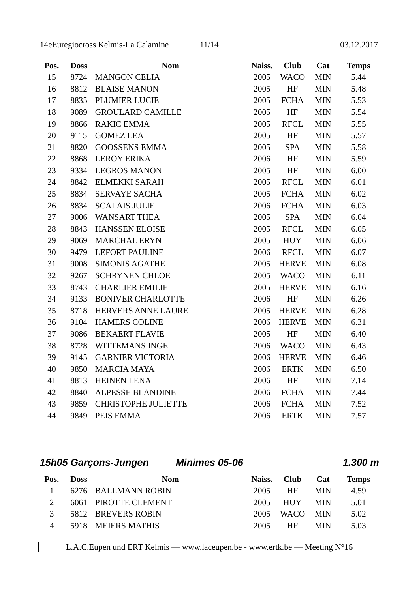| Pos. | <b>Doss</b> | <b>Nom</b>                 | Naiss. | <b>Club</b>  | Cat        | <b>Temps</b> |
|------|-------------|----------------------------|--------|--------------|------------|--------------|
| 15   | 8724        | <b>MANGON CELIA</b>        | 2005   | <b>WACO</b>  | <b>MIN</b> | 5.44         |
| 16   | 8812        | <b>BLAISE MANON</b>        | 2005   | HF           | <b>MIN</b> | 5.48         |
| 17   | 8835        | PLUMIER LUCIE              | 2005   | <b>FCHA</b>  | <b>MIN</b> | 5.53         |
| 18   | 9089        | <b>GROULARD CAMILLE</b>    | 2005   | HF           | <b>MIN</b> | 5.54         |
| 19   | 8866        | RAKIC EMMA                 | 2005   | <b>RFCL</b>  | <b>MIN</b> | 5.55         |
| 20   | 9115        | <b>GOMEZ LEA</b>           | 2005   | HF           | <b>MIN</b> | 5.57         |
| 21   | 8820        | <b>GOOSSENS EMMA</b>       | 2005   | <b>SPA</b>   | <b>MIN</b> | 5.58         |
| 22   | 8868        | <b>LEROY ERIKA</b>         | 2006   | HF           | <b>MIN</b> | 5.59         |
| 23   | 9334        | <b>LEGROS MANON</b>        | 2005   | HF           | <b>MIN</b> | 6.00         |
| 24   | 8842        | ELMEKKI SARAH              | 2005   | <b>RFCL</b>  | <b>MIN</b> | 6.01         |
| 25   | 8834        | <b>SERVAYE SACHA</b>       | 2005   | <b>FCHA</b>  | <b>MIN</b> | 6.02         |
| 26   | 8834        | <b>SCALAIS JULIE</b>       | 2006   | <b>FCHA</b>  | <b>MIN</b> | 6.03         |
| 27   | 9006        | <b>WANSART THEA</b>        | 2005   | <b>SPA</b>   | <b>MIN</b> | 6.04         |
| 28   | 8843        | HANSSEN ELOISE             | 2005   | <b>RFCL</b>  | <b>MIN</b> | 6.05         |
| 29   | 9069        | <b>MARCHAL ERYN</b>        | 2005   | <b>HUY</b>   | <b>MIN</b> | 6.06         |
| 30   | 9479        | <b>LEFORT PAULINE</b>      | 2006   | <b>RFCL</b>  | <b>MIN</b> | 6.07         |
| 31   | 9008        | <b>SIMONIS AGATHE</b>      | 2005   | <b>HERVE</b> | <b>MIN</b> | 6.08         |
| 32   | 9267        | <b>SCHRYNEN CHLOE</b>      | 2005   | <b>WACO</b>  | <b>MIN</b> | 6.11         |
| 33   | 8743        | <b>CHARLIER EMILIE</b>     | 2005   | <b>HERVE</b> | <b>MIN</b> | 6.16         |
| 34   | 9133        | <b>BONIVER CHARLOTTE</b>   | 2006   | HF           | <b>MIN</b> | 6.26         |
| 35   | 8718        | HERVERS ANNE LAURE         | 2005   | <b>HERVE</b> | <b>MIN</b> | 6.28         |
| 36   | 9104        | <b>HAMERS COLINE</b>       | 2006   | <b>HERVE</b> | <b>MIN</b> | 6.31         |
| 37   | 9086        | <b>BEKAERT FLAVIE</b>      | 2005   | HF           | <b>MIN</b> | 6.40         |
| 38   | 8728        | <b>WITTEMANS INGE</b>      | 2006   | <b>WACO</b>  | <b>MIN</b> | 6.43         |
| 39   | 9145        | <b>GARNIER VICTORIA</b>    | 2006   | <b>HERVE</b> | <b>MIN</b> | 6.46         |
| 40   | 9850        | <b>MARCIA MAYA</b>         | 2006   | <b>ERTK</b>  | <b>MIN</b> | 6.50         |
| 41   | 8813        | <b>HEINEN LENA</b>         | 2006   | HF           | <b>MIN</b> | 7.14         |
| 42   | 8840        | <b>ALPESSE BLANDINE</b>    | 2006   | <b>FCHA</b>  | <b>MIN</b> | 7.44         |
| 43   | 9859        | <b>CHRISTOPHE JULIETTE</b> | 2006   | <b>FCHA</b>  | <b>MIN</b> | 7.52         |
| 44   | 9849        | PEIS EMMA                  | 2006   | <b>ERTK</b>  | <b>MIN</b> | 7.57         |

|      |             | 15h05 Garçons-Jungen | <b>Minimes 05-06</b> |        |             |            | 1.300 m      |
|------|-------------|----------------------|----------------------|--------|-------------|------------|--------------|
| Pos. | <b>Doss</b> | <b>Nom</b>           |                      | Naiss. | <b>Club</b> | Cat        | <b>Temps</b> |
|      | 6276        | BALLMANN ROBIN       |                      | 2005   | HF          | MIN        | 4.59         |
| ∍    | 6061        | PIROTTE CLEMENT      |                      | 2005   | <b>HUY</b>  | <b>MIN</b> | 5.01         |
|      | 5812        | <b>BREVERS ROBIN</b> |                      | 2005   | <b>WACO</b> | МN         | 5.02         |
| 4    | 5918        | <b>MEIERS MATHIS</b> |                      | 2005   | HF          | MIN        | 5.03         |
|      |             |                      |                      |        |             |            |              |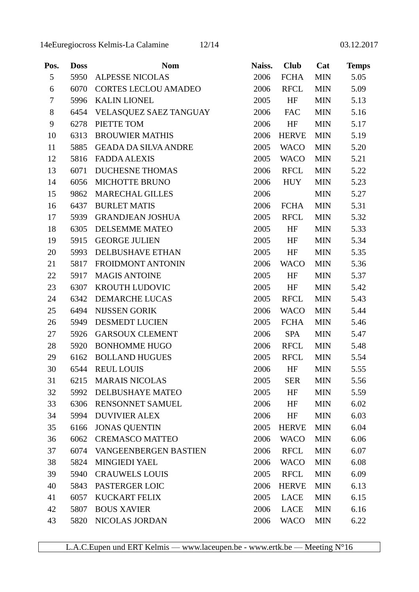| Pos.         | <b>Doss</b> | <b>Nom</b>                  | Naiss. | <b>Club</b>  | Cat        | <b>Temps</b> |
|--------------|-------------|-----------------------------|--------|--------------|------------|--------------|
| 5            | 5950        | <b>ALPESSE NICOLAS</b>      | 2006   | <b>FCHA</b>  | <b>MIN</b> | 5.05         |
| 6            | 6070        | <b>CORTES LECLOU AMADEO</b> | 2006   | <b>RFCL</b>  | <b>MIN</b> | 5.09         |
| $\tau$       | 5996        | <b>KALIN LIONEL</b>         | 2005   | HF           | <b>MIN</b> | 5.13         |
| $8\,$        | 6454        | VELASQUEZ SAEZ TANGUAY      | 2006   | <b>FAC</b>   | <b>MIN</b> | 5.16         |
| $\mathbf{9}$ | 6278        | PIETTE TOM                  | 2006   | HF           | <b>MIN</b> | 5.17         |
| 10           | 6313        | <b>BROUWIER MATHIS</b>      | 2006   | <b>HERVE</b> | <b>MIN</b> | 5.19         |
| 11           | 5885        | <b>GEADA DA SILVA ANDRE</b> | 2005   | <b>WACO</b>  | <b>MIN</b> | 5.20         |
| 12           | 5816        | <b>FADDA ALEXIS</b>         | 2005   | <b>WACO</b>  | <b>MIN</b> | 5.21         |
| 13           | 6071        | <b>DUCHESNE THOMAS</b>      | 2006   | RFCL         | <b>MIN</b> | 5.22         |
| 14           | 6056        | <b>MICHOTTE BRUNO</b>       | 2006   | <b>HUY</b>   | <b>MIN</b> | 5.23         |
| 15           | 9862        | MARECHAL GILLES             | 2006   |              | <b>MIN</b> | 5.27         |
| 16           | 6437        | <b>BURLET MATIS</b>         | 2006   | <b>FCHA</b>  | <b>MIN</b> | 5.31         |
| 17           | 5939        | <b>GRANDJEAN JOSHUA</b>     | 2005   | <b>RFCL</b>  | <b>MIN</b> | 5.32         |
| 18           | 6305        | <b>DELSEMME MATEO</b>       | 2005   | HF           | <b>MIN</b> | 5.33         |
| 19           | 5915        | <b>GEORGE JULIEN</b>        | 2005   | HF           | <b>MIN</b> | 5.34         |
| 20           | 5993        | <b>DELBUSHAVE ETHAN</b>     | 2005   | HF           | <b>MIN</b> | 5.35         |
| 21           | 5817        | FROIDMONT ANTONIN           | 2006   | <b>WACO</b>  | <b>MIN</b> | 5.36         |
| 22           | 5917        | <b>MAGIS ANTOINE</b>        | 2005   | HF           | <b>MIN</b> | 5.37         |
| 23           | 6307        | KROUTH LUDOVIC              | 2005   | HF           | <b>MIN</b> | 5.42         |
| 24           | 6342        | <b>DEMARCHE LUCAS</b>       | 2005   | <b>RFCL</b>  | <b>MIN</b> | 5.43         |
| 25           | 6494        | <b>NIJSSEN GORIK</b>        | 2006   | <b>WACO</b>  | <b>MIN</b> | 5.44         |
| 26           | 5949        | <b>DESMEDT LUCIEN</b>       | 2005   | <b>FCHA</b>  | <b>MIN</b> | 5.46         |
| 27           | 5926        | <b>GARSOUX CLEMENT</b>      | 2006   | <b>SPA</b>   | <b>MIN</b> | 5.47         |
| 28           | 5920        | <b>BONHOMME HUGO</b>        | 2006   | <b>RFCL</b>  | <b>MIN</b> | 5.48         |
| 29           | 6162        | <b>BOLLAND HUGUES</b>       | 2005   | <b>RFCL</b>  | <b>MIN</b> | 5.54         |
| 30           | 6544        | <b>REUL LOUIS</b>           | 2006   | HF           | <b>MIN</b> | 5.55         |
| 31           | 6215        | <b>MARAIS NICOLAS</b>       | 2005   | <b>SER</b>   | <b>MIN</b> | 5.56         |
| 32           | 5992        | DELBUSHAYE MATEO            | 2005   | HF           | <b>MIN</b> | 5.59         |
| 33           | 6306        | <b>RENSONNET SAMUEL</b>     | 2006   | HF           | <b>MIN</b> | 6.02         |
| 34           | 5994        | <b>DUVIVIER ALEX</b>        | 2006   | HF           | <b>MIN</b> | 6.03         |
| 35           | 6166        | <b>JONAS QUENTIN</b>        | 2005   | <b>HERVE</b> | <b>MIN</b> | 6.04         |
| 36           | 6062        | <b>CREMASCO MATTEO</b>      | 2006   | <b>WACO</b>  | <b>MIN</b> | 6.06         |
| 37           | 6074        | VANGEENBERGEN BASTIEN       | 2006   | <b>RFCL</b>  | <b>MIN</b> | 6.07         |
| 38           | 5824        | <b>MINGIEDI YAEL</b>        | 2006   | <b>WACO</b>  | <b>MIN</b> | 6.08         |
| 39           | 5940        | <b>CRAUWELS LOUIS</b>       | 2005   | <b>RFCL</b>  | <b>MIN</b> | 6.09         |
| 40           | 5843        | PASTERGER LOIC              | 2006   | <b>HERVE</b> | <b>MIN</b> | 6.13         |
| 41           | 6057        | <b>KUCKART FELIX</b>        | 2005   | LACE         | <b>MIN</b> | 6.15         |
| 42           | 5807        | <b>BOUS XAVIER</b>          | 2006   | LACE         | <b>MIN</b> | 6.16         |
| 43           |             | 5820 NICOLAS JORDAN         | 2006   | <b>WACO</b>  | <b>MIN</b> | 6.22         |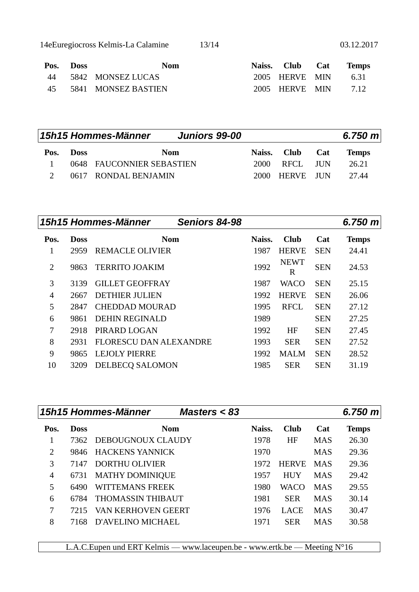14eEuregiocross Kelmis-La Calamine 13/14 03.12.2017

|    | Pos. Doss | <b>Nom</b>           | Naiss. Club Cat     | <b>Temps</b> |
|----|-----------|----------------------|---------------------|--------------|
|    |           | 44 5842 MONSEZ LUCAS | 2005 HERVE MIN 6.31 |              |
| 45 |           | 5841 MONSEZ BASTIEN  | 2005 HERVE MIN 7.12 |              |

|      |      | 15h15 Hommes-Männer<br><b>Juniors 99-00</b> |      |                 | 6.750 m      |
|------|------|---------------------------------------------|------|-----------------|--------------|
| Pos. | Doss | <b>Nom</b>                                  |      | Naiss. Club Cat | <b>Temps</b> |
|      |      | 0648 FAUCONNIER SEBASTIEN                   | 2000 | RECL IUN        | 26.21        |
|      |      | 0617 RONDAL BENJAMIN                        |      | 2000 HERVE JUN  | 27.44        |

|                |             | 15h15 Hommes-Männer<br>Seniors 84-98 |        |                  |            | 6.750 m      |
|----------------|-------------|--------------------------------------|--------|------------------|------------|--------------|
| Pos.           | <b>Doss</b> | <b>Nom</b>                           | Naiss. | <b>Club</b>      | Cat        | <b>Temps</b> |
| 1              | 2959        | <b>REMACLE OLIVIER</b>               | 1987   | <b>HERVE</b>     | <b>SEN</b> | 24.41        |
| $\overline{2}$ | 9863        | <b>TERRITO JOAKIM</b>                | 1992   | <b>NEWT</b><br>R | <b>SEN</b> | 24.53        |
| 3              | 3139        | <b>GILLET GEOFFRAY</b>               | 1987   | <b>WACO</b>      | <b>SEN</b> | 25.15        |
| 4              | 2667        | <b>DETHIER JULIEN</b>                | 1992   | <b>HERVE</b>     | <b>SEN</b> | 26.06        |
| 5              | 2847        | <b>CHEDDAD MOURAD</b>                | 1995   | <b>RFCL</b>      | <b>SEN</b> | 27.12        |
| 6              | 9861        | <b>DEHIN REGINALD</b>                | 1989   |                  | <b>SEN</b> | 27.25        |
| 7              | 2918        | PIRARD LOGAN                         | 1992   | <b>HF</b>        | <b>SEN</b> | 27.45        |
| 8              | 2931        | <b>FLORESCU DAN ALEXANDRE</b>        | 1993   | <b>SER</b>       | <b>SEN</b> | 27.52        |
| 9              | 9865        | <b>LEJOLY PIERRE</b>                 | 1992   | <b>MALM</b>      | <b>SEN</b> | 28.52        |
| 10             | 3209        | DELBECQ SALOMON                      | 1985   | <b>SER</b>       | <b>SEN</b> | 31.19        |
|                |             |                                      |        |                  |            |              |

|                |             | 15h15 Hommes-Männer<br>Masters < 83 |        |              |            | 6.750 m      |
|----------------|-------------|-------------------------------------|--------|--------------|------------|--------------|
| Pos.           | <b>Doss</b> | <b>Nom</b>                          | Naiss. | <b>Club</b>  | Cat        | <b>Temps</b> |
|                | 7362        | DEBOUGNOUX CLAUDY                   | 1978   | <b>HF</b>    | <b>MAS</b> | 26.30        |
| $\overline{2}$ | 9846        | <b>HACKENS YANNICK</b>              | 1970   |              | <b>MAS</b> | 29.36        |
| 3              | 7147        | <b>DORTHU OLIVIER</b>               | 1972   | <b>HERVE</b> | <b>MAS</b> | 29.36        |
| $\overline{4}$ | 6731        | <b>MATHY DOMINIQUE</b>              | 1957   | <b>HUY</b>   | <b>MAS</b> | 29.42        |
| 5              | 6490        | <b>WITTEMANS FREEK</b>              | 1980   | <b>WACO</b>  | <b>MAS</b> | 29.55        |
| 6              | 6784        | <b>THOMASSIN THIBAUT</b>            | 1981   | <b>SER</b>   | <b>MAS</b> | 30.14        |
| 7              | 7215        | VAN KERHOVEN GEERT                  | 1976   | <b>LACE</b>  | <b>MAS</b> | 30.47        |
| 8              | 7168        | <b>D'AVELINO MICHAEL</b>            | 1971   | <b>SER</b>   | <b>MAS</b> | 30.58        |
|                |             |                                     |        |              |            |              |